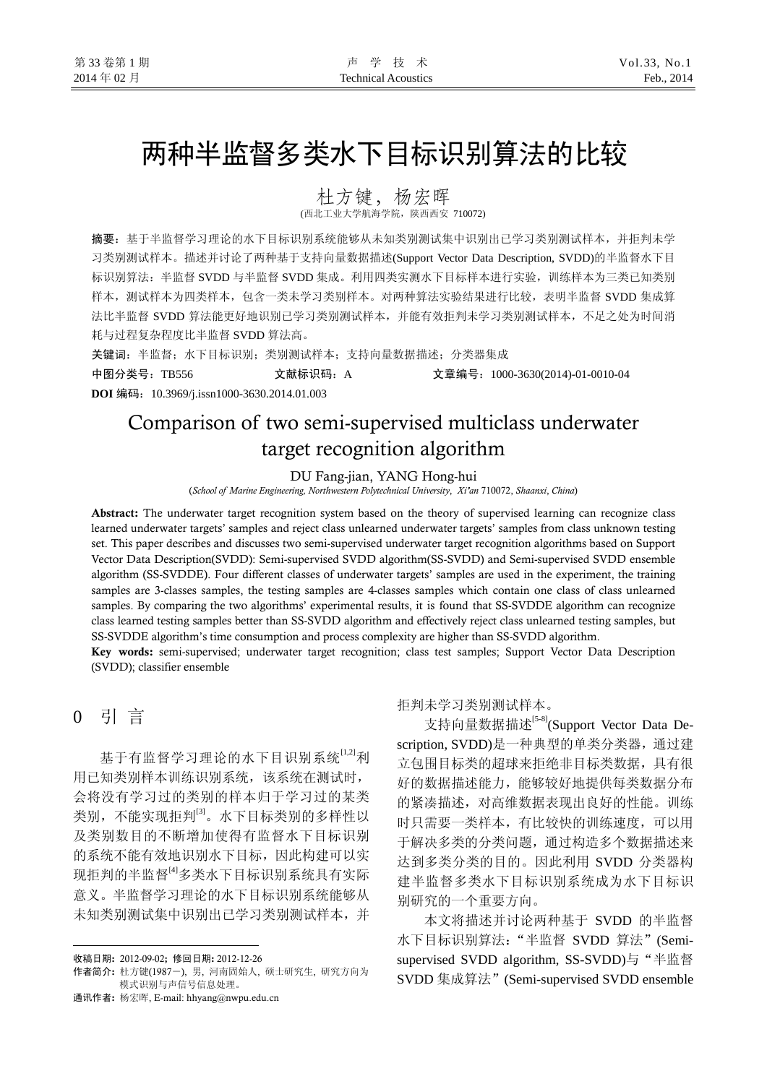# 两种半监督多类水下目标识别算法的比较

杜方键,杨宏晖

(西北工业大学航海学院,陕西西安 710072)

摘要:基于半监督学习理论的水下目标识别系统能够从未知类别测试集中识别出已学习类别测试样本,并拒判未学 习类别测试样本。描述并讨论了两种基于支持向量数据描述(Support Vector Data Description, SVDD)的半监督水下目 标识别算法:半监督 SVDD 与半监督 SVDD 集成。利用四类实测水下目标样本进行实验, 训练样本为三类已知类别 样本,测试样本为四类样本,包含一类未学习类别样本。对两种算法实验结果进行比较,表明半监督 SVDD 集成算 法比半监督 SVDD 算法能更好地识别已学习类别测试样本,并能有效拒判未学习类别测试样本,不足之处为时间消 耗与过程复杂程度比半监督 SVDD 算法高。

关键词: 半监督;水下目标识别;类别测试样本;支持向量数据描述;分类器集成

中图分类号:TB556 文献标识码:A 文章编号:1000-3630(2014)-01-0010-04 **DOI** 编码:10.3969/j.issn1000-3630.2014.01.003

## Comparison of two semi-supervised multiclass underwater target recognition algorithm

DU Fang-jian, YANG Hong-hui

(*School of Marine Engineering, Northwestern Polytechnical University*, *Xi'an* 710072, *Shaanxi*, *China*)

Abstract: The underwater target recognition system based on the theory of supervised learning can recognize class learned underwater targets' samples and reject class unlearned underwater targets' samples from class unknown testing set. This paper describes and discusses two semi-supervised underwater target recognition algorithms based on Support Vector Data Description(SVDD): Semi-supervised SVDD algorithm(SS-SVDD) and Semi-supervised SVDD ensemble algorithm (SS-SVDDE). Four different classes of underwater targets' samples are used in the experiment, the training samples are 3-classes samples, the testing samples are 4-classes samples which contain one class of class unlearned samples. By comparing the two algorithms' experimental results, it is found that SS-SVDDE algorithm can recognize class learned testing samples better than SS-SVDD algorithm and effectively reject class unlearned testing samples, but SS-SVDDE algorithm's time consumption and process complexity are higher than SS-SVDD algorithm.

Key words: semi-supervised; underwater target recognition; class test samples; Support Vector Data Description (SVDD); classifier ensemble

## 0 引 言

 $\overline{a}$ 

基于有监督学习理论的水下目识别系统[1,2]利 用已知类别样本训练识别系统,该系统在测试时, 会将没有学习过的类别的样本归于学习过的某类 类别,不能实现拒判[3]。水下目标类别的多样性以 及类别数目的不断增加使得有监督水下目标识别 的系统不能有效地识别水下目标,因此构建可以实 现拒判的半监督<sup>[4]</sup>多类水下目标识别系统具有实际 意义。半监督学习理论的水下目标识别系统能够从 未知类别测试集中识别出已学习类别测试样本,并

通讯作者: 杨宏晖, E-mail: hhyang@nwpu.edu.cn

### 拒判未学习类别测试样本。

支持向量数据描述<sup>[5-8]</sup>(Support Vector Data Description, SVDD)是一种典型的单类分类器,通过建 立包围目标类的超球来拒绝非目标类数据,具有很 好的数据描述能力,能够较好地提供每类数据分布 的紧凑描述,对高维数据表现出良好的性能。训练 时只需要一类样本,有比较快的训练速度,可以用 于解决多类的分类问题,通过构造多个数据描述来 达到多类分类的目的。因此利用 SVDD 分类器构 建半监督多类水下目标识别系统成为水下目标识 别研究的一个重要方向。

本文将描述并讨论两种基于 SVDD 的半监督 水下目标识别算法:"半监督 SVDD 算法"(Semisupervised SVDD algorithm, SS-SVDD)与"半监督 SVDD 集成算法"(Semi-supervised SVDD ensemble

收稿日期: 2012-09-02**;** 修回日期: 2012-12-26

作者简介: 杜方键(1987-), 男, 河南固始人, 硕士研究生, 研究方向为 模式识别与声信号信息处理。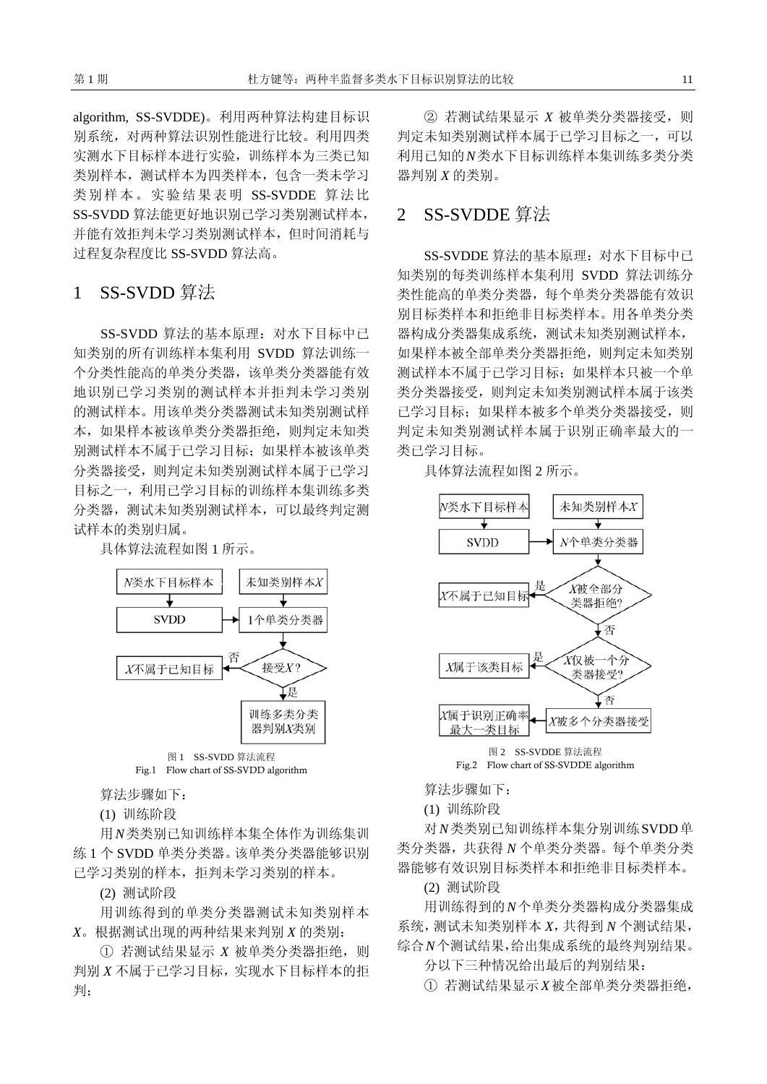algorithm, SS-SVDDE)。利用两种算法构建目标识 别系统,对两种算法识别性能进行比较。利用四类 实测水下目标样本进行实验,训练样本为三类已知 类别样本,测试样本为四类样本,包含一类未学习 类别样本。实验结果表明 SS-SVDDE 算法比 SS-SVDD 算法能更好地识别已学习类别测试样本, 并能有效拒判未学习类别测试样本,但时间消耗与 过程复杂程度比 SS-SVDD 算法高。

## 1 SS-SVDD 算法

SS-SVDD 算法的基本原理:对水下目标中已 知类别的所有训练样本集利用 SVDD 算法训练一 个分类性能高的单类分类器,该单类分类器能有效 地识别已学习类别的测试样本并拒判未学习类别 的测试样本。用该单类分类器测试未知类别测试样 本,如果样本被该单类分类器拒绝,则判定未知类 别测试样本不属于已学习目标;如果样本被该单类 分类器接受,则判定未知类别测试样本属于已学习 目标之一,利用已学习目标的训练样本集训练多类 分类器,测试未知类别测试样本,可以最终判定测 试样本的类别归属。

具体算法流程如图 1 所示。



Fig.1 Flow chart of SS-SVDD algorithm

算法步骤如下:

(1) 训练阶段

用*N*类类别已知训练样本集全体作为训练集训 练 1 个 SVDD 单类分类器。该单类分类器能够识别 已学习类别的样本,拒判未学习类别的样本。

(2) 测试阶段

用训练得到的单类分类器测试未知类别样本 *X*。根据测试出现的两种结果来判别 *X* 的类别:

① 若测试结果显示 *X* 被单类分类器拒绝,则 判别 *X* 不属于已学习目标,实现水下目标样本的拒 判;

② 若测试结果显示 *X* 被单类分类器接受,则 判定未知类别测试样本属于已学习目标之一,可以 利用已知的*N*类水下目标训练样本集训练多类分类 器判别 *X* 的类别。

## 2 SS-SVDDE 算法

SS-SVDDE 算法的基本原理:对水下目标中已 知类别的每类训练样本集利用 SVDD 算法训练分 类性能高的单类分类器,每个单类分类器能有效识 别目标类样本和拒绝非目标类样本。用各单类分类 器构成分类器集成系统,测试未知类别测试样本, 如果样本被全部单类分类器拒绝,则判定未知类别 测试样本不属于已学习目标;如果样本只被一个单 类分类器接受,则判定未知类别测试样本属于该类 已学习目标;如果样本被多个单类分类器接受,则 判定未知类别测试样本属于识别正确率最大的一 类已学习目标。

具体算法流程如图 2 所示。



图 2 SS-SVDDE 算法流程 Fig.2 Flow chart of SS-SVDDE algorithm

算法步骤如下:

(1) 训练阶段

对*N*类类别已知训练样本集分别训练SVDD单 类分类器,共获得 *N* 个单类分类器。每个单类分类 器能够有效识别目标类样本和拒绝非目标类样本。

(2) 测试阶段

用训练得到的*N*个单类分类器构成分类器集成 系统,测试未知类别样本 *X*,共得到 *N* 个测试结果, 综合*N*个测试结果,给出集成系统的最终判别结果。

分以下三种情况给出最后的判别结果:

① 若测试结果显示*X*被全部单类分类器拒绝,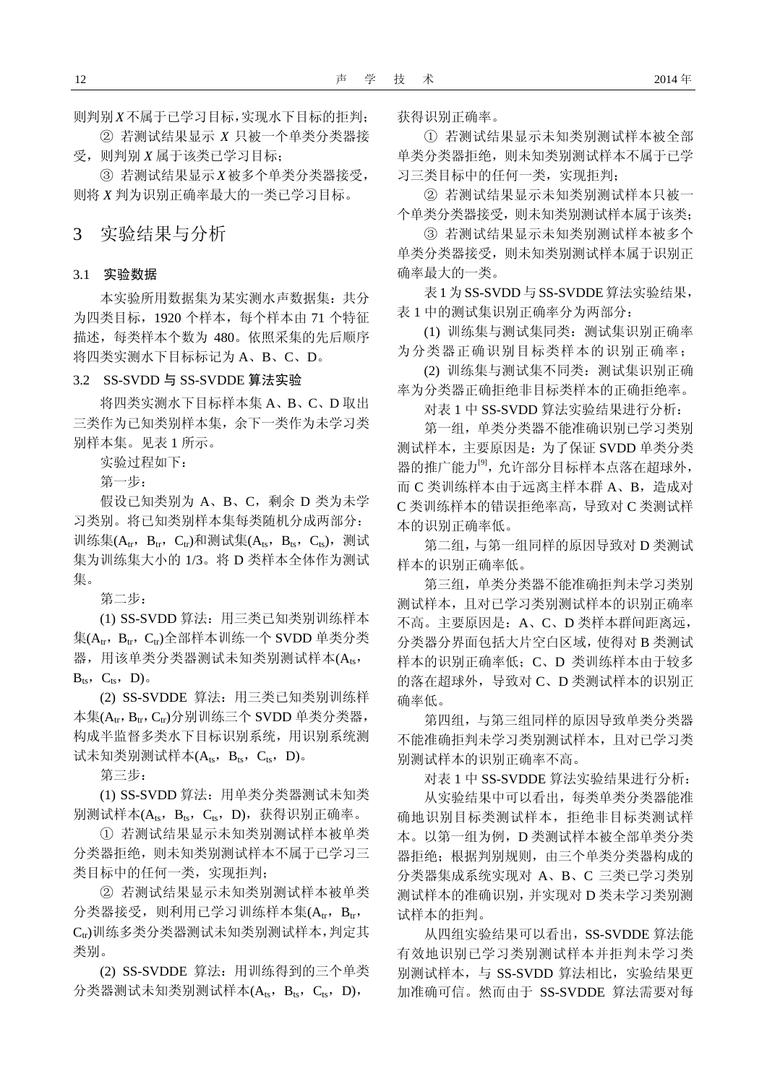则判别*X*不属于已学习目标,实现水下目标的拒判; ② 若测试结果显示 *X* 只被一个单类分类器接

受,则判别 *X* 属于该类已学习目标; ③ 若测试结果显示*X*被多个单类分类器接受,

则将 *X* 判为识别正确率最大的一类已学习目标。

3 实验结果与分析

#### 3.1 实验数据

本实验所用数据集为某实测水声数据集:共分 为四类目标,1920 个样本,每个样本由 71 个特征 描述,每类样本个数为 480。依照采集的先后顺序 将四类实测水下目标标记为 A、B、C、D。

## 3.2 SS-SVDD 与 SS-SVDDE 算法实验

将四类实测水下目标样本集 A、B、C、D 取出 三类作为已知类别样本集,余下一类作为未学习类 别样本集。见表 1 所示。

实验过程如下:

第一步:

假设已知类别为 A、B、C,剩余 D 类为未学 习类别。将已知类别样本集每类随机分成两部分: 训练集( $A_{tr}$ ,  $B_{tr}$ ,  $C_{tr}$ )和测试集( $A_{ts}$ ,  $B_{ts}$ ,  $C_{ts}$ ), 测试 集为训练集大小的 1/3。将 D 类样本全体作为测试 集。

第二步:

(1) SS-SVDD 算法:用三类已知类别训练样本 集 $(A<sub>tr</sub>, B<sub>tr</sub>, C<sub>tr</sub>)$ 全部样本训练一个 SVDD 单类分类 器, 用该单类分类器测试未知类别测试样本(Ats,  $B_{ts}$ ,  $C_{ts}$ ,  $D$ ).

(2) SS-SVDDE 算法:用三类已知类别训练样 本集 $(A<sub>tr</sub>, B<sub>tr</sub>, C<sub>r</sub>)$ 分别训练三个 SVDD 单类分类器, 构成半监督多类水下目标识别系统,用识别系统测 试未知类别测试样本 $(A_{ts}, B_{ts}, C_{ts}, D)$ 。

第三步:

(1) SS-SVDD 算法:用单类分类器测试未知类 别测试样本( $A_{ts}$ ,  $B_{ts}$ ,  $C_{ts}$ ,  $D$ ), 获得识别正确率。

① 若测试结果显示未知类别测试样本被单类 分类器拒绝,则未知类别测试样本不属于已学习三 类目标中的任何一类,实现拒判;

② 若测试结果显示未知类别测试样本被单类 分类器接受,则利用已学习训练样本集(Atr, Btr, Ctr)训练多类分类器测试未知类别测试样本,判定其 类别。

(2) SS-SVDDE 算法:用训练得到的三个单类 分类器测试未知类别测试样本 $(A_{ts}, B_{ts}, C_{ts}, D)$ ,

获得识别正确率。

① 若测试结果显示未知类别测试样本被全部 单类分类器拒绝,则未知类别测试样本不属于已学 习三类目标中的任何一类,实现拒判;

② 若测试结果显示未知类别测试样本只被一 个单类分类器接受,则未知类别测试样本属于该类;

③ 若测试结果显示未知类别测试样本被多个 单类分类器接受,则未知类别测试样本属于识别正 确率最大的一类。

表1 为SS-SVDD与SS-SVDDE 算法实验结果, 表 1 中的测试集识别正确率分为两部分:

(1) 训练集与测试集同类:测试集识别正确率 为分类器正确识别目标类样本的识别正确率;

(2) 训练集与测试集不同类:测试集识别正确 率为分类器正确拒绝非目标类样本的正确拒绝率。

对表 1 中 SS-SVDD 算法实验结果进行分析:

第一组,单类分类器不能准确识别已学习类别 测试样本,主要原因是:为了保证 SVDD 单类分类 器的推广能力<sup>[9]</sup>,允许部分目标样本点落在超球外, 而 C 类训练样本由于远离主样本群 A、B, 造成对 C 类训练样本的错误拒绝率高,导致对 C 类测试样 本的识别正确率低。

第二组,与第一组同样的原因导致对 D 类测试 样本的识别正确率低。

第三组,单类分类器不能准确拒判未学习类别 测试样本,且对已学习类别测试样本的识别正确率 不高。主要原因是:A、C、D 类样本群间距离远, 分类器分界面包括大片空白区域,使得对 B 类测试 样本的识别正确率低;C、D 类训练样本由于较多 的落在超球外,导致对 C、D 类测试样本的识别正 确率低。

第四组,与第三组同样的原因导致单类分类器 不能准确拒判未学习类别测试样本,且对已学习类 别测试样本的识别正确率不高。

对表 1 中 SS-SVDDE 算法实验结果进行分析:

从实验结果中可以看出,每类单类分类器能准 确地识别目标类测试样本,拒绝非目标类测试样 本。以第一组为例,D 类测试样本被全部单类分类 器拒绝;根据判别规则,由三个单类分类器构成的 分类器集成系统实现对 A、B、C 三类已学习类别 测试样本的准确识别,并实现对 D 类未学习类别测 试样本的拒判。

从四组实验结果可以看出, SS-SVDDE 算法能 有效地识别已学习类别测试样本并拒判未学习类 别测试样本,与 SS-SVDD 算法相比,实验结果更 加准确可信。然而由于 SS-SVDDE 算法需要对每